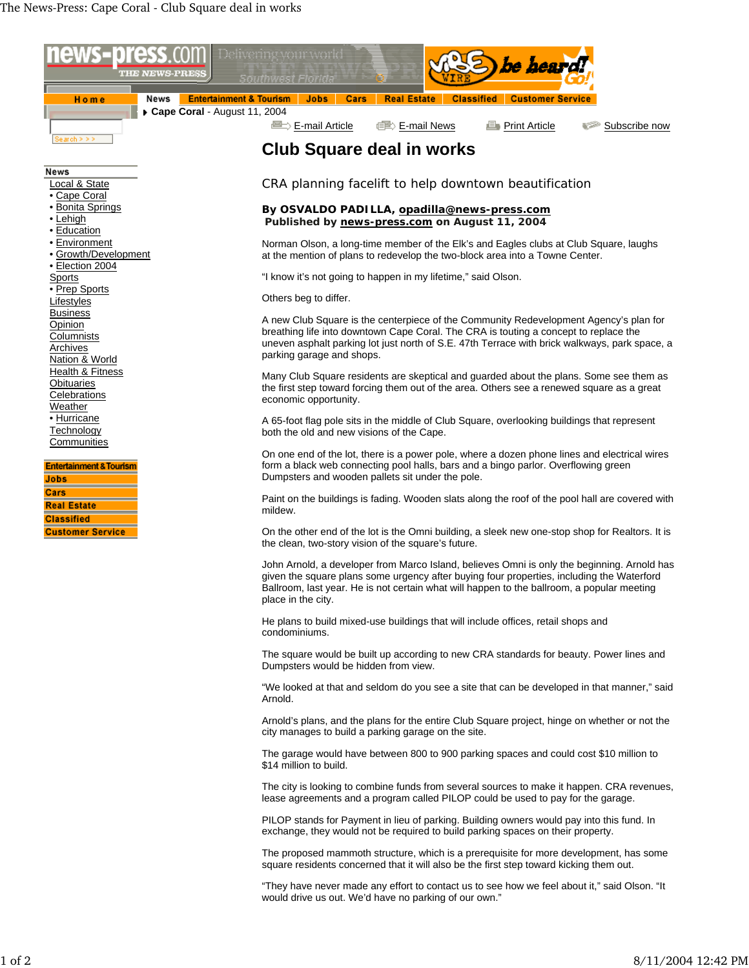

"They have never made any effort to contact us to see how we feel about it," said Olson. "It would drive us out. We'd have no parking of our own."